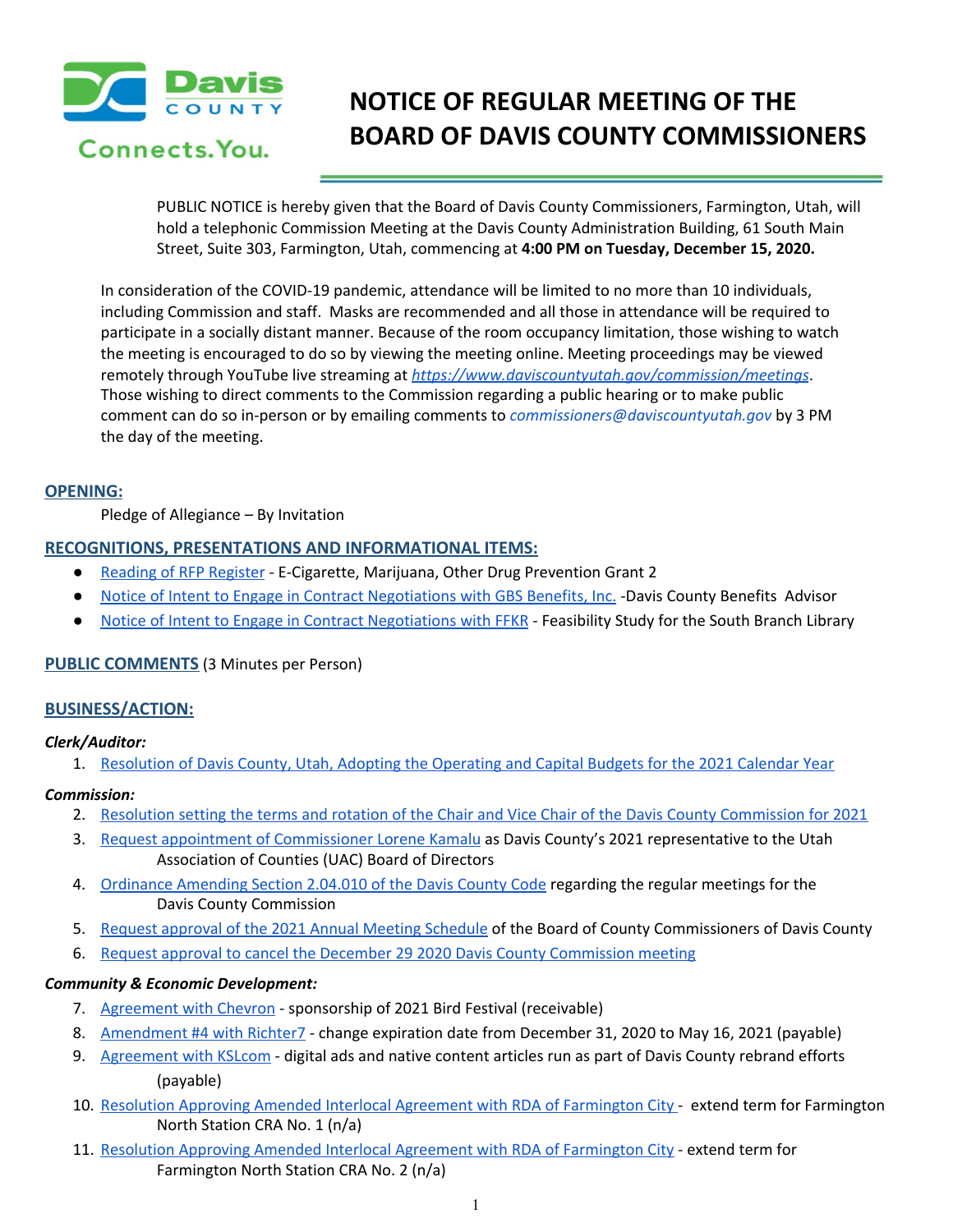

# **NOTICE OF REGULAR MEETING OF THE BOARD OF DAVIS COUNTY COMMISSIONERS**

PUBLIC NOTICE is hereby given that the Board of Davis County Commissioners, Farmington, Utah, will hold a telephonic Commission Meeting at the Davis County Administration Building, 61 South Main Street, Suite 303, Farmington, Utah, commencing at **4:00 PM on Tuesday, December 15, 2020.**

In consideration of the COVID-19 pandemic, attendance will be limited to no more than 10 individuals, including Commission and staff. Masks are recommended and all those in attendance will be required to participate in a socially distant manner. Because of the room occupancy limitation, those wishing to watch the meeting is encouraged to do so by viewing the meeting online. Meeting proceedings may be viewed remotely through YouTube live streaming at *<https://www.daviscountyutah.gov/commission/meetings>*. Those wishing to direct comments to the Commission regarding a public hearing or to make public comment can do so in-person or by emailing comments to *commissioners@daviscountyutah.gov* by 3 PM the day of the meeting.

#### **OPENING:**

Pledge of Allegiance – By Invitation

## **RECOGNITIONS, PRESENTATIONS AND INFORMATIONAL ITEMS:**

- Reading of RFP [Register](https://drive.google.com/file/d/1PqN5y6e52plfl7QOzKKhEUNHjofnsBeH/view?usp=drivesdk) E-Cigarette, Marijuana, Other Drug Prevention Grant 2
- Notice of Intent to Engage in Contract [Negotiations](https://drive.google.com/file/d/1TQuNbd5gjo4Ki9EfWfjkl3csEHgVBfei/view?usp=drivesdk) with GBS Benefits, Inc. -Davis County Benefits Advisor
- Notice of Intent to Engage in Contract [Negotiations](https://drive.google.com/file/d/1hdTGHGCTYCWWxsENvDlRRuTOWqGF1rDq/view?usp=drivesdk) with FFKR Feasibility Study for the South Branch Library

# **PUBLIC COMMENTS** (3 Minutes per Person)

# **BUSINESS/ACTION:**

#### *Clerk/Auditor:*

1. [Resolution](https://drive.google.com/file/d/1QwTSTRKr99LrOwTfrP5DfNeYUmlxt8q9/view?usp=drivesdk) of Davis County, Utah, Adopting the Operating and Capital Budgets for the 2021 Calendar Year

#### *Commission:*

- 2. Resolution setting the terms and rotation of the Chair and Vice Chair of the Davis County [Commission](https://drive.google.com/file/d/1-aOYHAgCUaY0EJxDmv50s0FLskAL39x_/view?usp=drivesdk) for 2021
- 3. Request appointment of [Commissioner](https://drive.google.com/file/d/169_NRFLxha8KC5-cLTxZFcMa6sT7qwRn/view?usp=drivesdk) Lorene Kamalu as Davis County's 2021 representative to the Utah Association of Counties (UAC) Board of Directors
- 4. [Ordinance](https://drive.google.com/file/d/1Gn_avupSAGW-5BI-exfWOh4iPUkhU2sp/view?usp=drivesdk) Amending Section 2.04.010 of the Davis County Code regarding the regular meetings for the Davis County Commission
- 5. Request approval of the 2021 Annual Meeting [Schedule](https://drive.google.com/file/d/15UTxjbNqpVU12QshL43shPrfvDVkDKLJ/view?usp=drivesdk) of the Board of County Commissioners of Davis County
- 6. Request approval to cancel the December 29 2020 Davis County [Commission](https://drive.google.com/file/d/1I0Uec9VyABTqPQ1KHAmM7EOo4U_6ZZYI/view?usp=drivesdk) meeting

#### *Community & Economic Development:*

- 7. [Agreement](https://drive.google.com/file/d/18tzsA5otfVRF90USczsiBzs7OLqHzkJ2/view?usp=drivesdk) with Chevron sponsorship of 2021 Bird Festival (receivable)
- 8. [Amendment](https://drive.google.com/file/d/1esBcXO_pjlJ_sBJg4OThcdlSY7SV5Olm/view?usp=drivesdk) #4 with Richter7 change expiration date from December 31, 2020 to May 16, 2021 (payable)
- 9. [Agreement](https://drive.google.com/file/d/1gQCp3ppEZF43xs-o-jEAYC2UW-RXBKal/view?usp=drivesdk) with KSLcom digital ads and native content articles run as part of Davis County rebrand efforts (payable)
- 10. Resolution Approving Amended Interlocal Agreement with RDA of [Farmington](https://drive.google.com/file/d/1oIgH3RGIqz2oxI7UlOoqYh6lTouf3P8E/view?usp=drivesdk) City extend term for Farmington North Station CRA No. 1 (n/a)
- 11. Resolution Approving Amended Interlocal Agreement with RDA of [Farmington](https://drive.google.com/file/d/1vh76cPak7lWe-XJ4TJnKEYJw8ItHKvmA/view?usp=drivesdk) City extend term for Farmington North Station CRA No. 2 (n/a)